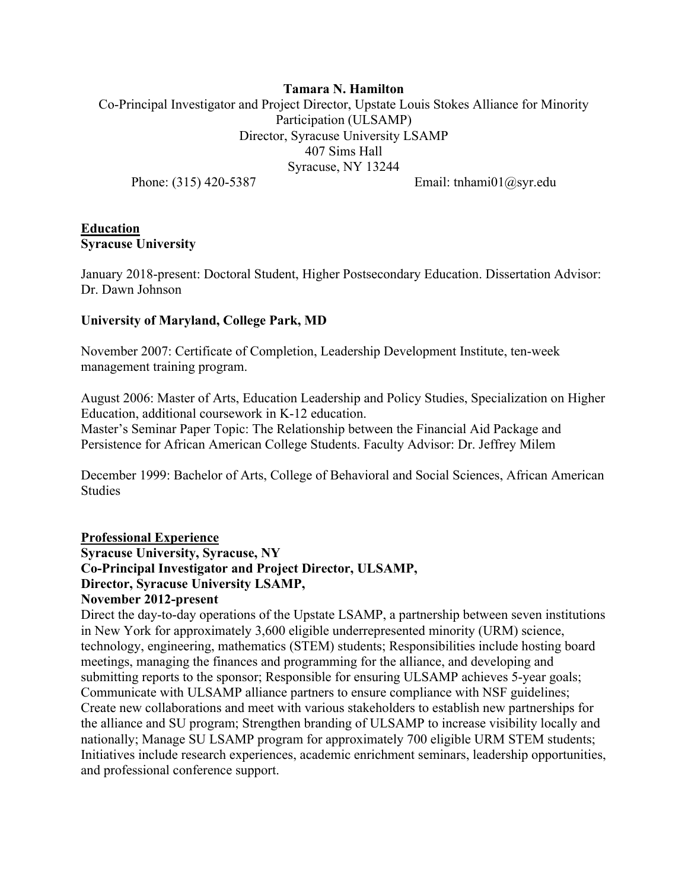# **Tamara N. Hamilton**  Co-Principal Investigator and Project Director, Upstate Louis Stokes Alliance for Minority Participation (ULSAMP) Director, Syracuse University LSAMP 407 Sims Hall Syracuse, NY 13244

Phone: (315) 420-5387 Email: tnhami01@syr.edu

## **Education Syracuse University**

January 2018-present: Doctoral Student, Higher Postsecondary Education. Dissertation Advisor: Dr. Dawn Johnson

## **University of Maryland, College Park, MD**

November 2007: Certificate of Completion, Leadership Development Institute, ten-week management training program.

August 2006: Master of Arts, Education Leadership and Policy Studies, Specialization on Higher Education, additional coursework in K-12 education.

Master's Seminar Paper Topic: The Relationship between the Financial Aid Package and Persistence for African American College Students. Faculty Advisor: Dr. Jeffrey Milem

December 1999: Bachelor of Arts, College of Behavioral and Social Sciences, African American Studies

# **Professional Experience**

**Syracuse University, Syracuse, NY Co-Principal Investigator and Project Director, ULSAMP, Director, Syracuse University LSAMP,** 

# **November 2012-present**

Direct the day-to-day operations of the Upstate LSAMP, a partnership between seven institutions in New York for approximately 3,600 eligible underrepresented minority (URM) science, technology, engineering, mathematics (STEM) students; Responsibilities include hosting board meetings, managing the finances and programming for the alliance, and developing and submitting reports to the sponsor; Responsible for ensuring ULSAMP achieves 5-year goals; Communicate with ULSAMP alliance partners to ensure compliance with NSF guidelines; Create new collaborations and meet with various stakeholders to establish new partnerships for the alliance and SU program; Strengthen branding of ULSAMP to increase visibility locally and nationally; Manage SU LSAMP program for approximately 700 eligible URM STEM students; Initiatives include research experiences, academic enrichment seminars, leadership opportunities, and professional conference support.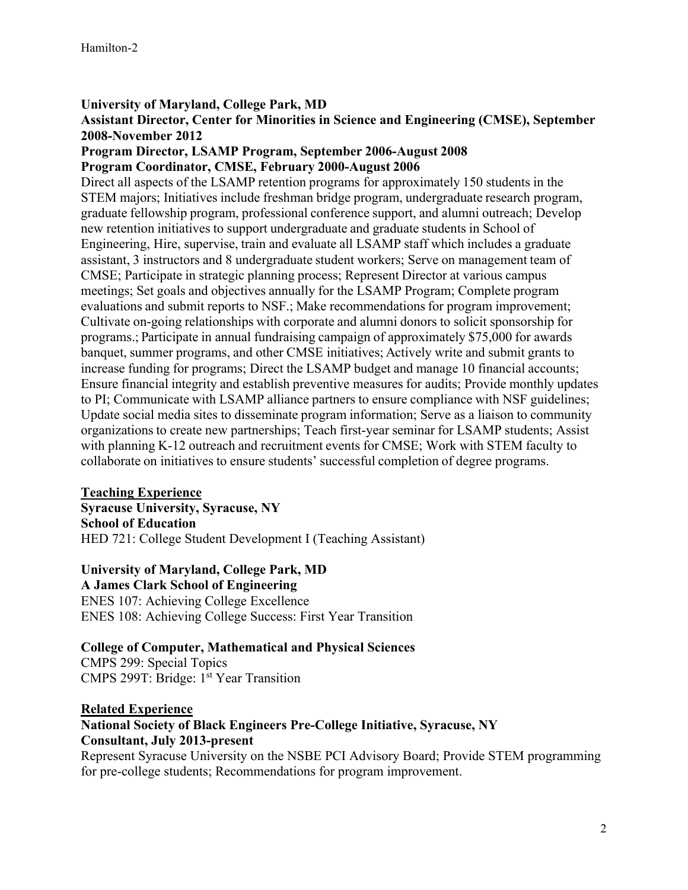#### **University of Maryland, College Park, MD**

#### **Assistant Director, Center for Minorities in Science and Engineering (CMSE), September 2008-November 2012**

#### **Program Director, LSAMP Program, September 2006-August 2008 Program Coordinator, CMSE, February 2000-August 2006**

Direct all aspects of the LSAMP retention programs for approximately 150 students in the STEM majors; Initiatives include freshman bridge program, undergraduate research program, graduate fellowship program, professional conference support, and alumni outreach; Develop new retention initiatives to support undergraduate and graduate students in School of Engineering, Hire, supervise, train and evaluate all LSAMP staff which includes a graduate assistant, 3 instructors and 8 undergraduate student workers; Serve on management team of CMSE; Participate in strategic planning process; Represent Director at various campus meetings; Set goals and objectives annually for the LSAMP Program; Complete program evaluations and submit reports to NSF.; Make recommendations for program improvement; Cultivate on-going relationships with corporate and alumni donors to solicit sponsorship for programs.; Participate in annual fundraising campaign of approximately \$75,000 for awards banquet, summer programs, and other CMSE initiatives; Actively write and submit grants to increase funding for programs; Direct the LSAMP budget and manage 10 financial accounts; Ensure financial integrity and establish preventive measures for audits; Provide monthly updates to PI; Communicate with LSAMP alliance partners to ensure compliance with NSF guidelines; Update social media sites to disseminate program information; Serve as a liaison to community organizations to create new partnerships; Teach first-year seminar for LSAMP students; Assist with planning K-12 outreach and recruitment events for CMSE; Work with STEM faculty to collaborate on initiatives to ensure students' successful completion of degree programs.

#### **Teaching Experience Syracuse University, Syracuse, NY School of Education**  HED 721: College Student Development I (Teaching Assistant)

## **University of Maryland, College Park, MD**

**A James Clark School of Engineering** 

ENES 107: Achieving College Excellence ENES 108: Achieving College Success: First Year Transition

## **College of Computer, Mathematical and Physical Sciences**

CMPS 299: Special Topics CMPS 299T: Bridge: 1<sup>st</sup> Year Transition

## **Related Experience**

# **National Society of Black Engineers Pre-College Initiative, Syracuse, NY Consultant, July 2013-present**

Represent Syracuse University on the NSBE PCI Advisory Board; Provide STEM programming for pre-college students; Recommendations for program improvement.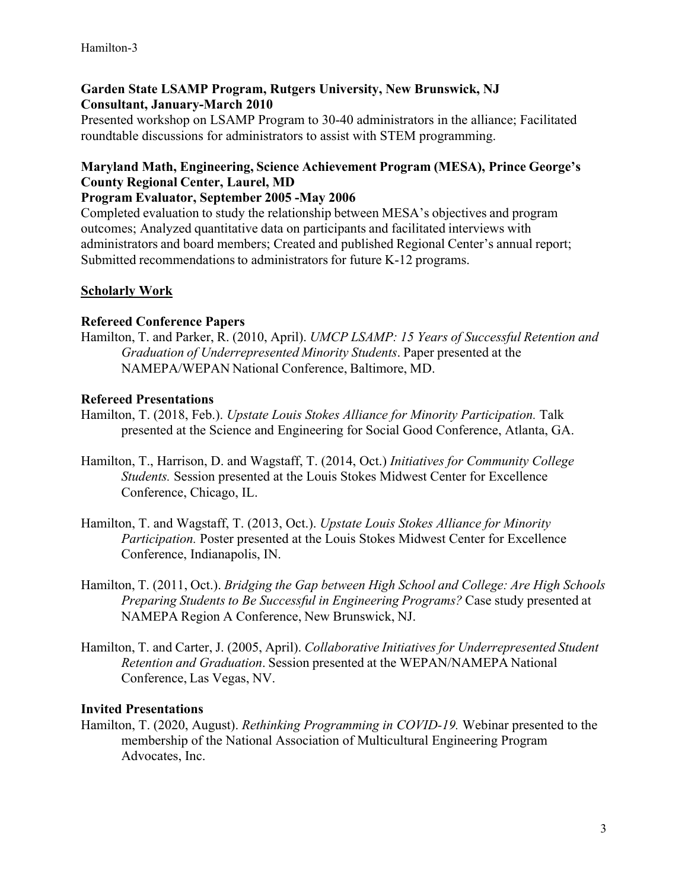# **Garden State LSAMP Program, Rutgers University, New Brunswick, NJ Consultant, January-March 2010**

Presented workshop on LSAMP Program to 30-40 administrators in the alliance; Facilitated roundtable discussions for administrators to assist with STEM programming.

# **Maryland Math, Engineering, Science Achievement Program (MESA), Prince George's County Regional Center, Laurel, MD**

## **Program Evaluator, September 2005 -May 2006**

Completed evaluation to study the relationship between MESA's objectives and program outcomes; Analyzed quantitative data on participants and facilitated interviews with administrators and board members; Created and published Regional Center's annual report; Submitted recommendations to administrators for future K-12 programs.

# **Scholarly Work**

## **Refereed Conference Papers**

Hamilton, T. and Parker, R. (2010, April). *UMCP LSAMP: 15 Years of Successful Retention and Graduation of Underrepresented Minority Students*. Paper presented at the NAMEPA/WEPAN National Conference, Baltimore, MD.

## **Refereed Presentations**

- Hamilton, T. (2018, Feb.). *Upstate Louis Stokes Alliance for Minority Participation*. Talk presented at the Science and Engineering for Social Good Conference, Atlanta, GA.
- Hamilton, T., Harrison, D. and Wagstaff, T. (2014, Oct.) *Initiatives for Community College Students.* Session presented at the Louis Stokes Midwest Center for Excellence Conference, Chicago, IL.
- Hamilton, T. and Wagstaff, T. (2013, Oct.). *Upstate Louis Stokes Alliance for Minority Participation.* Poster presented at the Louis Stokes Midwest Center for Excellence Conference, Indianapolis, IN.
- Hamilton, T. (2011, Oct.). *Bridging the Gap between High School and College: Are High Schools Preparing Students to Be Successful in Engineering Programs?* Case study presented at NAMEPA Region A Conference, New Brunswick, NJ.
- Hamilton, T. and Carter, J. (2005, April). *Collaborative Initiatives for Underrepresented Student Retention and Graduation*. Session presented at the WEPAN/NAMEPA National Conference, Las Vegas, NV.

#### **Invited Presentations**

Hamilton, T. (2020, August). *Rethinking Programming in COVID-19.* Webinar presented to the membership of the National Association of Multicultural Engineering Program Advocates, Inc.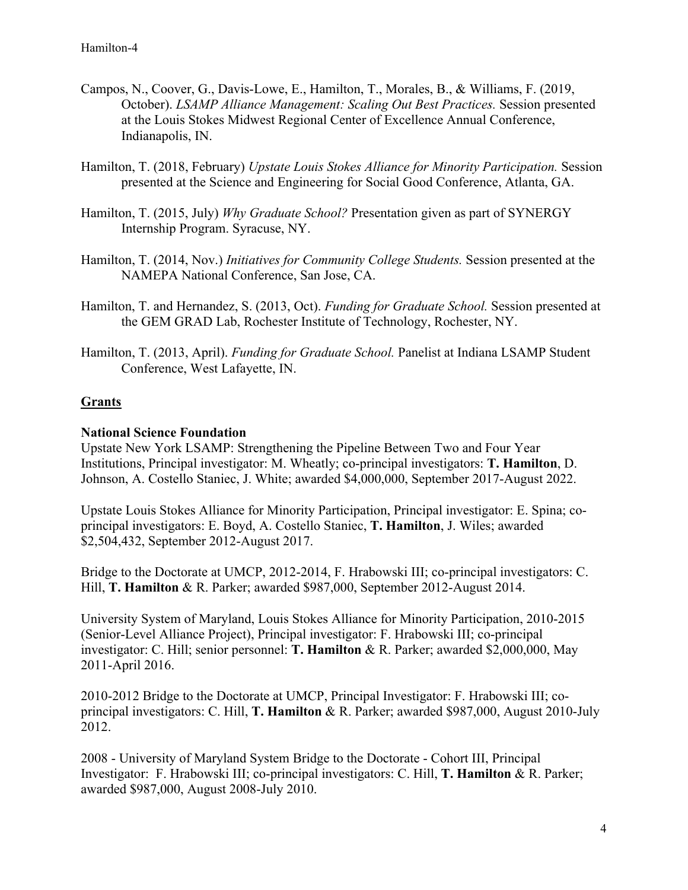- Campos, N., Coover, G., Davis-Lowe, E., Hamilton, T., Morales, B., & Williams, F. (2019, October). *LSAMP Alliance Management: Scaling Out Best Practices.* Session presented at the Louis Stokes Midwest Regional Center of Excellence Annual Conference, Indianapolis, IN.
- Hamilton, T. (2018, February) *Upstate Louis Stokes Alliance for Minority Participation.* Session presented at the Science and Engineering for Social Good Conference, Atlanta, GA.
- Hamilton, T. (2015, July) *Why Graduate School?* Presentation given as part of SYNERGY Internship Program. Syracuse, NY.
- Hamilton, T. (2014, Nov.) *Initiatives for Community College Students.* Session presented at the NAMEPA National Conference, San Jose, CA.
- Hamilton, T. and Hernandez, S. (2013, Oct). *Funding for Graduate School.* Session presented at the GEM GRAD Lab, Rochester Institute of Technology, Rochester, NY.
- Hamilton, T. (2013, April). *Funding for Graduate School.* Panelist at Indiana LSAMP Student Conference, West Lafayette, IN.

# **Grants**

## **National Science Foundation**

Upstate New York LSAMP: Strengthening the Pipeline Between Two and Four Year Institutions, Principal investigator: M. Wheatly; co-principal investigators: **T. Hamilton**, D. Johnson, A. Costello Staniec, J. White; awarded \$4,000,000, September 2017-August 2022.

Upstate Louis Stokes Alliance for Minority Participation, Principal investigator: E. Spina; coprincipal investigators: E. Boyd, A. Costello Staniec, **T. Hamilton**, J. Wiles; awarded \$2,504,432, September 2012-August 2017.

Bridge to the Doctorate at UMCP, 2012-2014, F. Hrabowski III; co-principal investigators: C. Hill, **T. Hamilton** & R. Parker; awarded \$987,000, September 2012-August 2014.

University System of Maryland, Louis Stokes Alliance for Minority Participation, 2010-2015 (Senior-Level Alliance Project), Principal investigator: F. Hrabowski III; co-principal investigator: C. Hill; senior personnel: **T. Hamilton** & R. Parker; awarded \$2,000,000, May 2011-April 2016.

2010-2012 Bridge to the Doctorate at UMCP, Principal Investigator: F. Hrabowski III; coprincipal investigators: C. Hill, **T. Hamilton** & R. Parker; awarded \$987,000, August 2010-July 2012.

2008 - University of Maryland System Bridge to the Doctorate - Cohort III, Principal Investigator: F. Hrabowski III; co-principal investigators: C. Hill, **T. Hamilton** & R. Parker; awarded \$987,000, August 2008-July 2010.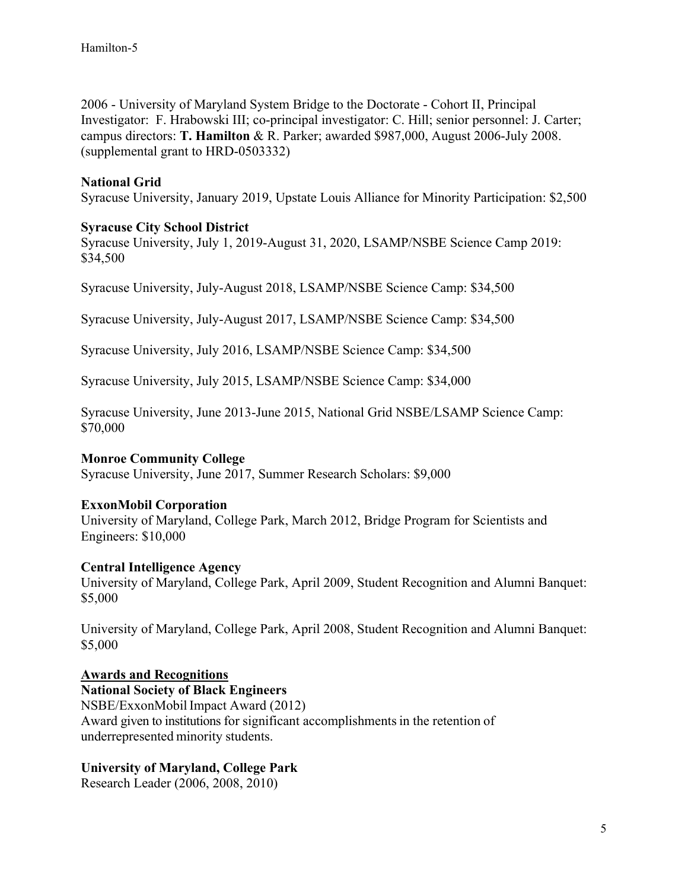2006 - University of Maryland System Bridge to the Doctorate - Cohort II, Principal Investigator: F. Hrabowski III; co-principal investigator: C. Hill; senior personnel: J. Carter; campus directors: **T. Hamilton** & R. Parker; awarded \$987,000, August 2006-July 2008. (supplemental grant to HRD-0503332)

## **National Grid**

Syracuse University, January 2019, Upstate Louis Alliance for Minority Participation: \$2,500

#### **Syracuse City School District**

Syracuse University, July 1, 2019-August 31, 2020, LSAMP/NSBE Science Camp 2019: \$34,500

Syracuse University, July-August 2018, LSAMP/NSBE Science Camp: \$34,500

Syracuse University, July-August 2017, LSAMP/NSBE Science Camp: \$34,500

Syracuse University, July 2016, LSAMP/NSBE Science Camp: \$34,500

Syracuse University, July 2015, LSAMP/NSBE Science Camp: \$34,000

Syracuse University, June 2013-June 2015, National Grid NSBE/LSAMP Science Camp: \$70,000

#### **Monroe Community College**

Syracuse University, June 2017, Summer Research Scholars: \$9,000

#### **ExxonMobil Corporation**

University of Maryland, College Park, March 2012, Bridge Program for Scientists and Engineers: \$10,000

#### **Central Intelligence Agency**

University of Maryland, College Park, April 2009, Student Recognition and Alumni Banquet: \$5,000

University of Maryland, College Park, April 2008, Student Recognition and Alumni Banquet: \$5,000

#### **Awards and Recognitions**

**National Society of Black Engineers**  NSBE/ExxonMobil Impact Award (2012) Award given to institutions for significant accomplishments in the retention of underrepresented minority students.

#### **University of Maryland, College Park**

Research Leader (2006, 2008, 2010)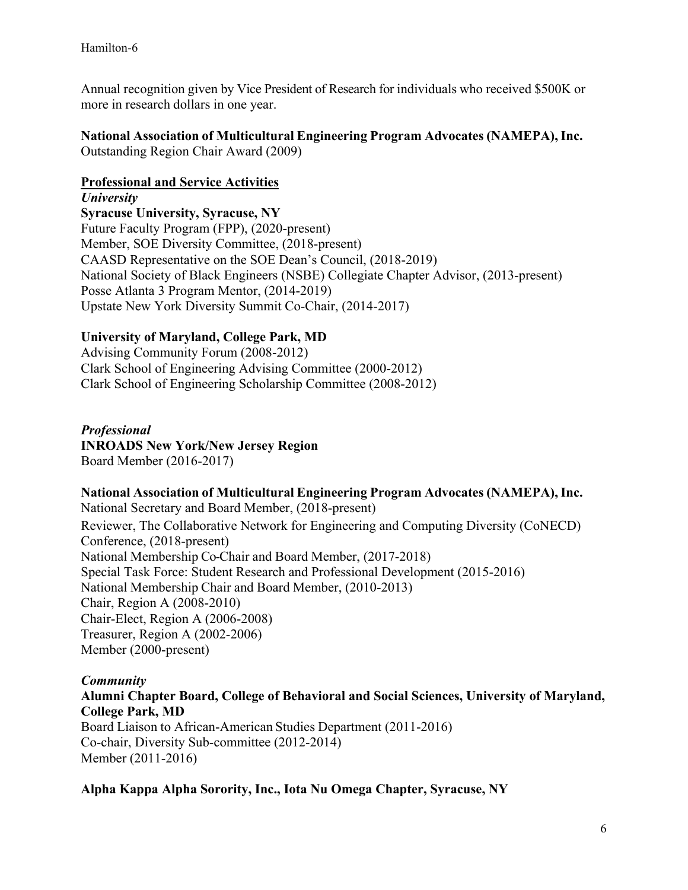Annual recognition given by Vice President of Research for individuals who received \$500K or more in research dollars in one year.

## **National Association of Multicultural Engineering Program Advocates (NAMEPA), Inc.**

Outstanding Region Chair Award (2009)

#### **Professional and Service Activities**

*University*  **Syracuse University, Syracuse, NY**  Future Faculty Program (FPP), (2020-present) Member, SOE Diversity Committee, (2018-present) CAASD Representative on the SOE Dean's Council, (2018-2019) National Society of Black Engineers (NSBE) Collegiate Chapter Advisor, (2013-present) Posse Atlanta 3 Program Mentor, (2014-2019) Upstate New York Diversity Summit Co-Chair, (2014-2017)

# **University of Maryland, College Park, MD**

Advising Community Forum (2008-2012) Clark School of Engineering Advising Committee (2000-2012) Clark School of Engineering Scholarship Committee (2008-2012)

# *Professional*

**INROADS New York/New Jersey Region**  Board Member (2016-2017)

## **National Association of Multicultural Engineering Program Advocates (NAMEPA), Inc.**

National Secretary and Board Member, (2018-present) Reviewer, The Collaborative Network for Engineering and Computing Diversity (CoNECD) Conference, (2018-present) National Membership Co-Chair and Board Member, (2017-2018) Special Task Force: Student Research and Professional Development (2015-2016) National Membership Chair and Board Member, (2010-2013) Chair, Region A (2008-2010) Chair-Elect, Region A (2006-2008) Treasurer, Region A (2002-2006) Member (2000-present)

## *Community*

**Alumni Chapter Board, College of Behavioral and Social Sciences, University of Maryland, College Park, MD**  Board Liaison to African-American Studies Department (2011-2016)

Co-chair, Diversity Sub-committee (2012-2014) Member (2011-2016)

**Alpha Kappa Alpha Sorority, Inc., Iota Nu Omega Chapter, Syracuse, NY**